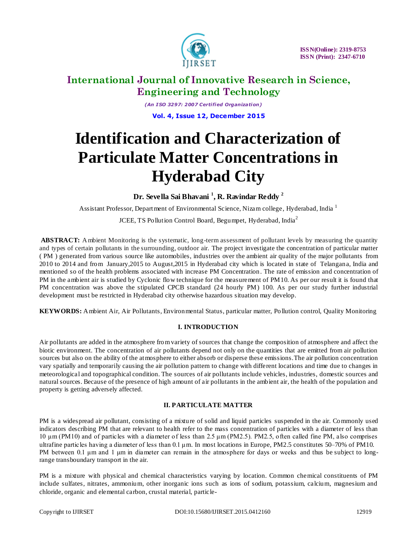

*(An I SO 3297: 2007 Certified Organization)* **Vol. 4, Issue 12, December 2015**

# **Identification and Characterization of Particulate Matter Concentrations in Hyderabad City**

**Dr. Sevella Sai Bhavani <sup>1</sup> , R. Ravindar Reddy <sup>2</sup>**

Assistant Professor, Department of Environmental Science, Nizam college, Hyderabad, India  $^1$ 

JCEE, TS Pollution Control Board, Begumpet, Hyderabad, India<sup>2</sup>

ABSTRACT: Ambient Monitoring is the systematic, long-term assessment of pollutant levels by measuring the quantity and types of certain pollutants in the surrounding, outdoor air. The project investigate the concentration of particular matter ( PM ) generated from various source like automobiles, industries over the ambient air quality of the major pollutants from 2010 to 2014 and from January,2015 to August,2015 in Hyderabad city which is located in state of Telangana, India and mentioned so of the health problems associated with increase PM Concentration. The rate of emission and concentration of PM in the ambient air is studied by Cyclonic flow technique for the measurement of PM10. As per our result it is found that PM concentration was above the stipulated CPCB standard (24 hourly PM) 100. As per our study further industrial development must be restricted in Hyderabad city otherwise hazardous situation may develop.

**KEYWORDS:** Ambient Air, Air Pollutants, Environmental Status, particular matter, Pollution control, Quality Monitoring

### **I. INTRODUCTION**

Air pollutants are added in the atmosphere from variety of sources that change the composition of atmosphere and affect the biotic environment. The concentration of air pollutants depend not only on the quantities that are emitted from air pollution sources but also on the ability of the atmosphere to either absorb or disperse these emissions.The air pollution concentration vary spatially and temporarily causing the air pollution pattern to change with different locations and time due to changes in meteorological and topographical condition. The sources of air pollutants include vehicles, industries, domestic sources and natural sources. Because of the presence of high amount of air pollutants in the ambient air, the health of the population and property is getting adversely affected.

### **II. PARTICULATE MATTER**

PM is a widespread air pollutant, consisting of a mixture of solid and liquid particles suspended in the air. Commonly used indicators describing PM that are relevant to health refer to the mass concentration of particles with a diameter of less than 10 μm (PM10) and of particles with a diameter of less than 2.5 μm (PM2.5). PM2.5, often called fine PM, also comprises ultrafine particles having a diameter of less than 0.1 μm. In most locations in Europe, PM2.5 constitutes 50–70% of PM10. PM between 0.1 μm and 1 μm in diameter can remain in the atmosphere for days or weeks and thus be subject to longrange transboundary transport in the air.

PM is a mixture with physical and chemical characteristics varying by location. Common chemical constituents of PM include sulfates, nitrates, ammonium, other inorganic ions such as ions of sodium, potassium, calcium, magnesium and chloride, organic and elemental carbon, crustal material, particle-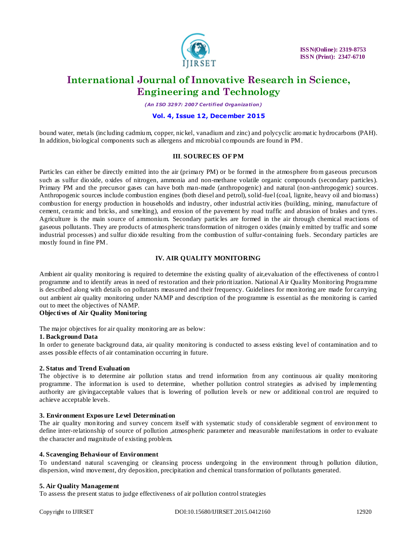

*(An I SO 3297: 2007 Certified Organization)*

### **Vol. 4, Issue 12, December 2015**

bound water, metals (including cadmium, copper, nickel, vanadium and zinc) and polycyclic aromatic hydrocarbons (PAH). In addition, biological components such as allergens and microbial compounds are found in PM.

#### **III**. **SOURECES OF PM**

Particles can either be directly emitted into the air (primary PM) or be formed in the atmosphere from gaseous precursors such as sulfur dioxide, oxides of nitrogen, ammonia and non-methane volatile organic compounds (secondary particles). Primary PM and the precursor gases can have both man-made (anthropogenic) and natural (non-anthropogenic) sources. Anthropogenic sources include combustion engines (both diesel and petrol), solid -fuel (coal, lignite, heavy oil and biomass) combustion for energy production in households and industry, other industrial activities (building, mining, manufacture of cement, ceramic and bricks, and smelting), and erosion of the pavement by road traffic and abrasion of brakes and tyres. Agriculture is the main source of ammonium. Secondary particles are formed in the air through chemical reactions of gaseous pollutants. They are products of atmospheric transformation of nitrogen oxides (mainly emitted by traffic and some industrial processes) and sulfur dioxide resulting from the combustion of sulfur-containing fuels. Secondary particles are mostly found in fine PM.

### **IV. AIR QUALITY MONITORING**

Ambient air quality monitoring is required to determine the existing quality of air,evaluation of the effectiveness of contro l programme and to identify areas in need of restoration and their prioritization. National Air Quality Monitoring Programme is described along with details on pollutants measured and their frequency. Guidelines for monitoring are made for carrying out ambient air quality monitoring under NAMP and description of the programme is essential as the monitoring is carried out to meet the objectives of NAMP.

### **Objectives of Air Quality Monitoring**

The major objectives for air quality monitoring are as below:

### **1. Background Data**

In order to generate background data, air quality monitoring is conducted to assess existing level of contamination and to asses possible effects of air contamination occurring in future.

### **2. Status and Trend Evaluation**

The objective is to determine air pollution status and trend information from any continuous air quality monitoring programme. The information is used to determine, whether pollution control strategies as advised by implementing authority are givingacceptable values that is lowering of pollution levels or new or additional con trol are required to achieve acceptable levels.

#### **3. Environment Expos ure Level Determination**

The air quality monitoring and survey concern itself with systematic study of considerable segment of environment to define inter-relationship of source of pollution ,atmospheric parameter and measurable manifestations in order to evaluate the character and magnitude of existing problem.

#### **4. Scavenging Behaviour of Environment**

To understand natural scavenging or cleansing process undergoing in the environment throug h pollution dilution, dispersion, wind movement, dry deposition, precipitation and chemical transformation of pollutants generated.

### **5. Air Quality Management**

To assess the present status to judge effectiveness of air pollution control strategies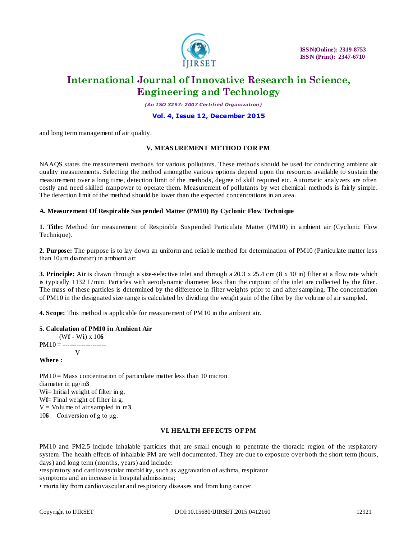

*(An I SO 3297: 2007 Certified Organization)*

### **Vol. 4, Issue 12, December 2015**

and long term management of air quality.

### **V. MEAS UREMENT METHOD FOR PM**

NAAQS states the measurement methods for various pollutants. These methods should be used for conducting ambient air quality measurements. Selecting the method amongthe various options depend u pon the resources available to sustain the measurement over a long time, detection limit of the methods, degree of skill required etc. Automatic analyzers are often costly and need skilled manpower to operate them. Measurement of pollutants by wet chemical methods is fairly simple. The detection limit of the method should be lower than the expected concentrations in an area.

#### **A. Measurement Of Respirable Sus pended Matter (PM10) By Cyclonic Flow Technique**

**1. Title:** Method for measurement of Respirable Suspended Particulate Matter (PM10) in ambient air (Cyclonic Flow Technique).

**2. Purpose:** The purpose is to lay down an uniform and reliable method for determination of PM10 (Particulate matter less than 10μm diameter) in ambient air.

**3. Principle:** Air is drawn through a size-selective inlet and through a 20.3 x 25.4 cm (8 x 10 in) filter at a flow rate which is typically 1132 L/min. Particles with aerodynamic diameter less than the cutpoint of the inlet are collected by the filter. The mass of these particles is determined by the difference in filter weights prior to and after sampling. The concentration of PM10 in the designated size range is calculated by dividing the weight gain of the filter by the volume of air sampled.

**4. Scope:** This method is applicable for measurement of PM10 in the ambient air.

**5. Calculation of PM10 in Ambient Air** (W**f** - W**i**) x 10**6**  $PM10 =$  -------------------V

**Where :**

 $PM10 = Mass concentration of particulate matter less than 10 micron$ diameter in μg/m**3** Wi= Initial weight of filter in g. W**f**= Final weight of filter in g.  $V = Vol$ ume of air sampled in m3  $106$  = Conversion of g to  $\mu$ g.

#### **VI. HEALTH EFFECTS OF PM**

PM10 and PM2.5 include inhalable particles that are small enough to penetrate the thoracic region of the respiratory system. The health effects of inhalable PM are well documented. They are due to exposure over both the short term (hours, days) and long term (months, years) and include:

•respiratory and cardiovascular morbidity, such as aggravation of asthma, respirator

symptoms and an increase in hospital admissions;

• mortality from cardiovascular and respiratory diseases and from lung cancer.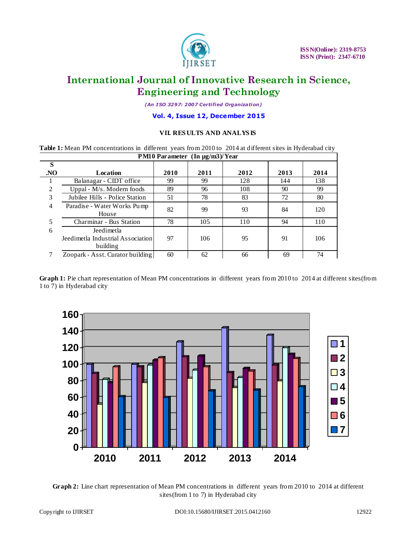

*(An I SO 3297: 2007 Certified Organization)*

**Vol. 4, Issue 12, December 2015**

### **VII. RES ULTS AND ANALYS IS**

**Table 1:** Mean PM concentrations in different years from 2010 to 2014 at different sites in Hyderabad city **PM10 Parameter (In µg/m3)/Year**

|                | $\mathbf{I}$ ivity I at atticure $\mathbf{I}$ in $\mathbf{\mu}$ g/in $\mathbf{J}$ if $\mathbf{I}$ is a set |      |      |      |      |      |  |  |  |  |
|----------------|------------------------------------------------------------------------------------------------------------|------|------|------|------|------|--|--|--|--|
| S              |                                                                                                            |      |      |      |      |      |  |  |  |  |
| NO.            | Location                                                                                                   | 2010 | 2011 | 2012 | 2013 | 2014 |  |  |  |  |
|                | Balanagar - CIDT office                                                                                    | 99   | 99   | 128  | 144  | 138  |  |  |  |  |
| 2              | Uppal - $M/s$ . Modern foods                                                                               | 89   | 96   | 108  | 90   | 99   |  |  |  |  |
| 3              | Jubilee Hills - Police Station                                                                             | 51   | 78   | 83   | 72   | 80   |  |  |  |  |
| $\overline{4}$ | Paradise - Water Works Pump<br>House                                                                       | 82   | 99   | 93   | 84   | 120  |  |  |  |  |
| 5              | Charminar - Bus Station                                                                                    | 78   | 105  | 110  | 94   | 110  |  |  |  |  |
| 6              | Jeedimetla<br>Jeedimetla Industrial Association<br>building                                                | 97   | 106  | 95   | 91   | 106  |  |  |  |  |
|                | Zoopark - Asst. Curator building                                                                           | 60   | 62   | 66   | 69   | 74   |  |  |  |  |

**Graph 1:** Pie chart representation of Mean PM concentrations in different years from 2010 to 2014 at different sites(from 1 to 7) in Hyderabad city



**Graph 2:** Line chart representation of Mean PM concentrations in different years from 2010 to 2014 at different sites(from 1 to 7) in Hyderabad city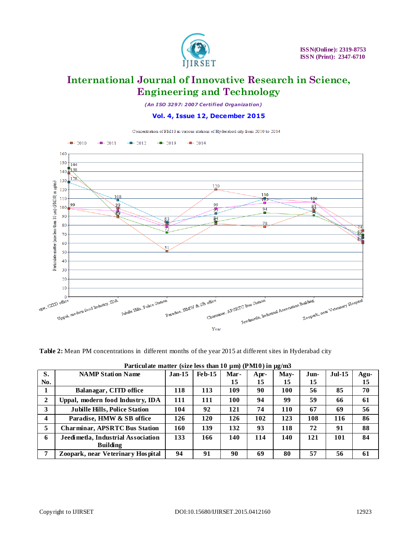

*(An I SO 3297: 2007 Certified Organization)*

**Vol. 4, Issue 12, December 2015**



**Table 2:** Mean PM concentrations in different months of the year 2015 at different sites in Hyderabad city

| S.                      | <b>NAMP Station Name</b>             | $Jan-15$ | $Feb-15$ | Mar- | Apr- | May- | Jun- | $Jul-15$ | Agu- |
|-------------------------|--------------------------------------|----------|----------|------|------|------|------|----------|------|
| No.                     |                                      |          |          | 15   | 15   | 15   | 15   |          | 15   |
|                         | Balanagar, CITD office               | 118      | 113      | 109  | 90   | 100  | 56   | 85       | 70   |
| $\mathbf{2}$            | Uppal, modern food Industry, IDA     | 111      | 111      | 100  | 94   | 99   | 59   | 66       | 61   |
| 3                       | <b>Jubille Hills, Police Station</b> | 104      | 92       | 121  | 74   | 110  | 67   | 69       | 56   |
| $\overline{\mathbf{4}}$ | Paradise, HMW & SB office            | 126      | 120      | 126  | 102  | 123  | 108  | 116      | 86   |
| 5                       | <b>Charminar, APSRTC Bus Station</b> | 160      | 139      | 132  | 93   | 118  | 72   | 91       | 88   |
| 6                       | Jeedimetla, Industrial Association   | 133      | 166      | 140  | 114  | 140  | 121  | 101      | 84   |
|                         | <b>Building</b>                      |          |          |      |      |      |      |          |      |
| 7                       | Zoopark, near Veterinary Hospital    | 94       | 91       | 90   | 69   | 80   | 57   | 56       | 61   |

Particulate matter (size less than 10 µm) (PM10) in µg/m3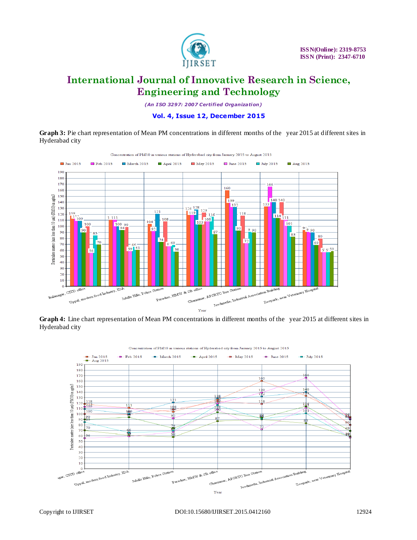

*(An I SO 3297: 2007 Certified Organization)*

**Vol. 4, Issue 12, December 2015**

**Graph 3:** Pie chart representation of Mean PM concentrations in different months of the year 2015 at different sites in Hyderabad city



**Graph 4:** Line chart representation of Mean PM concentrations in different months of the year 2015 at different sites in Hyderabad city